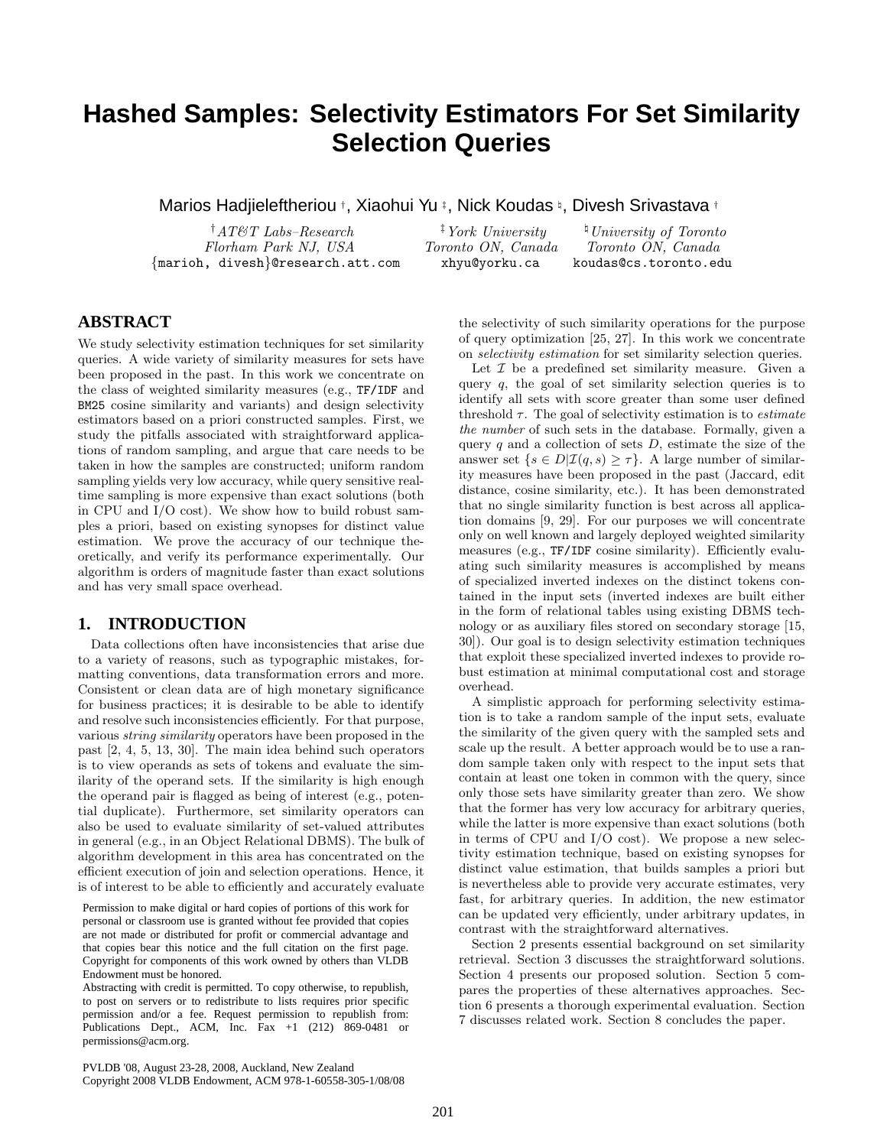# **Hashed Samples: Selectivity Estimators For Set Similarity Selection Queries**

Marios Hadjieleftheriou +, Xiaohui Yu +, Nick Koudas +, Divesh Srivastava +

<sup>†</sup>AT&T Labs–Research  $\frac{1}{4}$ York University  $\frac{1}{4}$ University of Toronto Florham Park NJ, USA Toronto ON, Canada Toronto ON, Canada {marioh, divesh}@research.att.com xhyu@yorku.ca koudas@cs.toronto.edu

# **ABSTRACT**

We study selectivity estimation techniques for set similarity queries. A wide variety of similarity measures for sets have been proposed in the past. In this work we concentrate on the class of weighted similarity measures (e.g., TF/IDF and BM25 cosine similarity and variants) and design selectivity estimators based on a priori constructed samples. First, we study the pitfalls associated with straightforward applications of random sampling, and argue that care needs to be taken in how the samples are constructed; uniform random sampling yields very low accuracy, while query sensitive realtime sampling is more expensive than exact solutions (both in CPU and I/O cost). We show how to build robust samples a priori, based on existing synopses for distinct value estimation. We prove the accuracy of our technique theoretically, and verify its performance experimentally. Our algorithm is orders of magnitude faster than exact solutions and has very small space overhead.

# **1. INTRODUCTION**

Data collections often have inconsistencies that arise due to a variety of reasons, such as typographic mistakes, formatting conventions, data transformation errors and more. Consistent or clean data are of high monetary significance for business practices; it is desirable to be able to identify and resolve such inconsistencies efficiently. For that purpose, various string similarity operators have been proposed in the past [2, 4, 5, 13, 30]. The main idea behind such operators is to view operands as sets of tokens and evaluate the similarity of the operand sets. If the similarity is high enough the operand pair is flagged as being of interest (e.g., potential duplicate). Furthermore, set similarity operators can also be used to evaluate similarity of set-valued attributes in general (e.g., in an Object Relational DBMS). The bulk of algorithm development in this area has concentrated on the efficient execution of join and selection operations. Hence, it is of interest to be able to efficiently and accurately evaluate

are not made or distributed for profit or commercial advantage and that copies bear this notice and the full citation on the first page. Copyright for components of this work owned by others than VLDB Endowment must be honored. Permission to make digital or hard copies of portions of this work for personal or classroom use is granted without fee provided that copies

Abstracting with credit is permitted. To copy otherwise, to republish, to post on servers or to redistribute to lists requires prior specific permission and/or a fee. Request permission to republish from: Publications Dept., ACM, Inc. Fax +1 (212) 869-0481 or  $permissions@acm.org.$ 

the selectivity of such similarity operations for the purpose of query optimization [25, 27]. In this work we concentrate on selectivity estimation for set similarity selection queries.

Let  $\mathcal I$  be a predefined set similarity measure. Given a query  $q$ , the goal of set similarity selection queries is to identify all sets with score greater than some user defined threshold  $\tau$ . The goal of selectivity estimation is to *estimate* the number of such sets in the database. Formally, given a query  $q$  and a collection of sets  $D$ , estimate the size of the answer set  $\{s \in D | \mathcal{I}(q, s) \geq \tau\}$ . A large number of similarity measures have been proposed in the past (Jaccard, edit distance, cosine similarity, etc.). It has been demonstrated that no single similarity function is best across all application domains [9, 29]. For our purposes we will concentrate only on well known and largely deployed weighted similarity measures (e.g., TF/IDF cosine similarity). Efficiently evaluating such similarity measures is accomplished by means of specialized inverted indexes on the distinct tokens contained in the input sets (inverted indexes are built either in the form of relational tables using existing DBMS technology or as auxiliary files stored on secondary storage [15, 30]). Our goal is to design selectivity estimation techniques that exploit these specialized inverted indexes to provide robust estimation at minimal computational cost and storage overhead.

A simplistic approach for performing selectivity estimation is to take a random sample of the input sets, evaluate the similarity of the given query with the sampled sets and scale up the result. A better approach would be to use a random sample taken only with respect to the input sets that contain at least one token in common with the query, since only those sets have similarity greater than zero. We show that the former has very low accuracy for arbitrary queries, while the latter is more expensive than exact solutions (both in terms of CPU and I/O cost). We propose a new selectivity estimation technique, based on existing synopses for distinct value estimation, that builds samples a priori but is nevertheless able to provide very accurate estimates, very fast, for arbitrary queries. In addition, the new estimator can be updated very efficiently, under arbitrary updates, in contrast with the straightforward alternatives.

Section 2 presents essential background on set similarity retrieval. Section 3 discusses the straightforward solutions. Section 4 presents our proposed solution. Section 5 compares the properties of these alternatives approaches. Section 6 presents a thorough experimental evaluation. Section 7 discusses related work. Section 8 concludes the paper.

PVLDB '08, August 23-28, 2008, Auckland, New Zealand Copyright 2008 VLDB Endowment, ACM 978-1-60558-305-1/08/08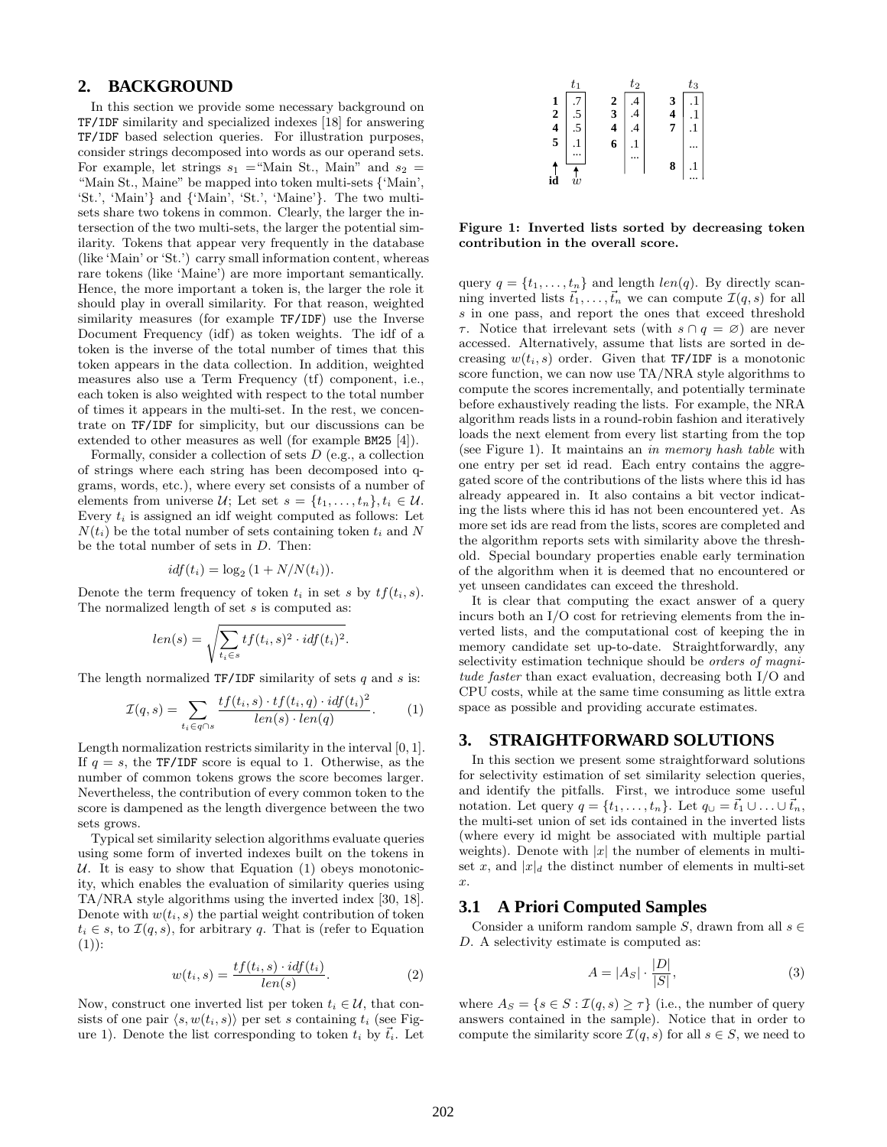## **2. BACKGROUND**

In this section we provide some necessary background on TF/IDF similarity and specialized indexes [18] for answering TF/IDF based selection queries. For illustration purposes, consider strings decomposed into words as our operand sets. For example, let strings  $s_1$  = "Main St., Main" and  $s_2$  = "Main St., Maine" be mapped into token multi-sets {'Main', 'St.', 'Main'} and {'Main', 'St.', 'Maine'}. The two multisets share two tokens in common. Clearly, the larger the intersection of the two multi-sets, the larger the potential similarity. Tokens that appear very frequently in the database (like 'Main' or 'St.') carry small information content, whereas rare tokens (like 'Maine') are more important semantically. Hence, the more important a token is, the larger the role it should play in overall similarity. For that reason, weighted similarity measures (for example TF/IDF) use the Inverse Document Frequency (idf) as token weights. The idf of a token is the inverse of the total number of times that this token appears in the data collection. In addition, weighted measures also use a Term Frequency (tf) component, i.e., each token is also weighted with respect to the total number of times it appears in the multi-set. In the rest, we concentrate on TF/IDF for simplicity, but our discussions can be extended to other measures as well (for example BM25 [4]).

Formally, consider a collection of sets  $D$  (e.g., a collection of strings where each string has been decomposed into qgrams, words, etc.), where every set consists of a number of elements from universe  $\mathcal{U}$ ; Let set  $s = \{t_1, \ldots, t_n\}, t_i \in \mathcal{U}$ . Every  $t_i$  is assigned an idf weight computed as follows: Let  $N(t_i)$  be the total number of sets containing token  $t_i$  and N be the total number of sets in D. Then:

$$
idf(t_i) = \log_2(1 + N/N(t_i)).
$$

Denote the term frequency of token  $t_i$  in set s by  $tf(t_i, s)$ . The normalized length of set s is computed as:

$$
len(s) = \sqrt{\sum_{t_i \in s} tf(t_i, s)^2 \cdot idf(t_i)^2}.
$$

The length normalized  $TF/IDF$  similarity of sets q and s is:

$$
\mathcal{I}(q,s) = \sum_{t_i \in q \cap s} \frac{tf(t_i, s) \cdot tf(t_i, q) \cdot idf(t_i)^2}{len(s) \cdot len(q)}.
$$
 (1)

Length normalization restricts similarity in the interval [0, 1]. If  $q = s$ , the TF/IDF score is equal to 1. Otherwise, as the number of common tokens grows the score becomes larger. Nevertheless, the contribution of every common token to the score is dampened as the length divergence between the two sets grows.

Typical set similarity selection algorithms evaluate queries using some form of inverted indexes built on the tokens in U. It is easy to show that Equation  $(1)$  obeys monotonicity, which enables the evaluation of similarity queries using TA/NRA style algorithms using the inverted index [30, 18]. Denote with  $w(t_i, s)$  the partial weight contribution of token  $t_i \in s$ , to  $\mathcal{I}(q, s)$ , for arbitrary q. That is (refer to Equation  $(1)$ :

$$
w(t_i, s) = \frac{tf(t_i, s) \cdot idf(t_i)}{len(s)}.
$$
\n(2)

Now, construct one inverted list per token  $t_i \in \mathcal{U}$ , that consists of one pair  $\langle s, w(t_i, s) \rangle$  per set s containing  $t_i$  (see Figure 1). Denote the list corresponding to token  $t_i$  by  $t_i$ . Let

|               |   | $\scriptstyle{t_2}$ |   | 2 |
|---------------|---|---------------------|---|---|
|               |   |                     |   |   |
| $\frac{1}{2}$ |   |                     |   |   |
| 4             |   |                     | 7 |   |
| 5             | 6 |                     |   |   |
|               |   |                     | 8 |   |

Figure 1: Inverted lists sorted by decreasing token contribution in the overall score.

query  $q = \{t_1, \ldots, t_n\}$  and length  $len(q)$ . By directly scanning inverted lists  $\vec{t}_1, \ldots, \vec{t}_n$  we can compute  $\mathcal{I}(q, s)$  for all s in one pass, and report the ones that exceed threshold  $τ.$  Notice that irrelevant sets (with  $s ∩ q = ∅$ ) are never accessed. Alternatively, assume that lists are sorted in decreasing  $w(t_i, s)$  order. Given that TF/IDF is a monotonic score function, we can now use TA/NRA style algorithms to compute the scores incrementally, and potentially terminate before exhaustively reading the lists. For example, the NRA algorithm reads lists in a round-robin fashion and iteratively loads the next element from every list starting from the top (see Figure 1). It maintains an in memory hash table with one entry per set id read. Each entry contains the aggregated score of the contributions of the lists where this id has already appeared in. It also contains a bit vector indicating the lists where this id has not been encountered yet. As more set ids are read from the lists, scores are completed and the algorithm reports sets with similarity above the threshold. Special boundary properties enable early termination of the algorithm when it is deemed that no encountered or yet unseen candidates can exceed the threshold.

It is clear that computing the exact answer of a query incurs both an I/O cost for retrieving elements from the inverted lists, and the computational cost of keeping the in memory candidate set up-to-date. Straightforwardly, any selectivity estimation technique should be *orders of magni*tude faster than exact evaluation, decreasing both I/O and CPU costs, while at the same time consuming as little extra space as possible and providing accurate estimates.

# **3. STRAIGHTFORWARD SOLUTIONS**

In this section we present some straightforward solutions for selectivity estimation of set similarity selection queries, and identify the pitfalls. First, we introduce some useful notation. Let query  $q = \{t_1, \ldots, t_n\}$ . Let  $q_{\cup} = \bar{t_1} \cup \ldots \cup \bar{t_n}$ , the multi-set union of set ids contained in the inverted lists (where every id might be associated with multiple partial weights). Denote with  $|x|$  the number of elements in multiset x, and  $|x|_d$  the distinct number of elements in multi-set x.

## **3.1 A Priori Computed Samples**

Consider a uniform random sample S, drawn from all  $s \in$ D. A selectivity estimate is computed as:

$$
A = |As| \cdot \frac{|D|}{|S|},\tag{3}
$$

where  $A_S = \{s \in S : \mathcal{I}(q, s) \geq \tau\}$  (i.e., the number of query answers contained in the sample). Notice that in order to compute the similarity score  $\mathcal{I}(q, s)$  for all  $s \in S$ , we need to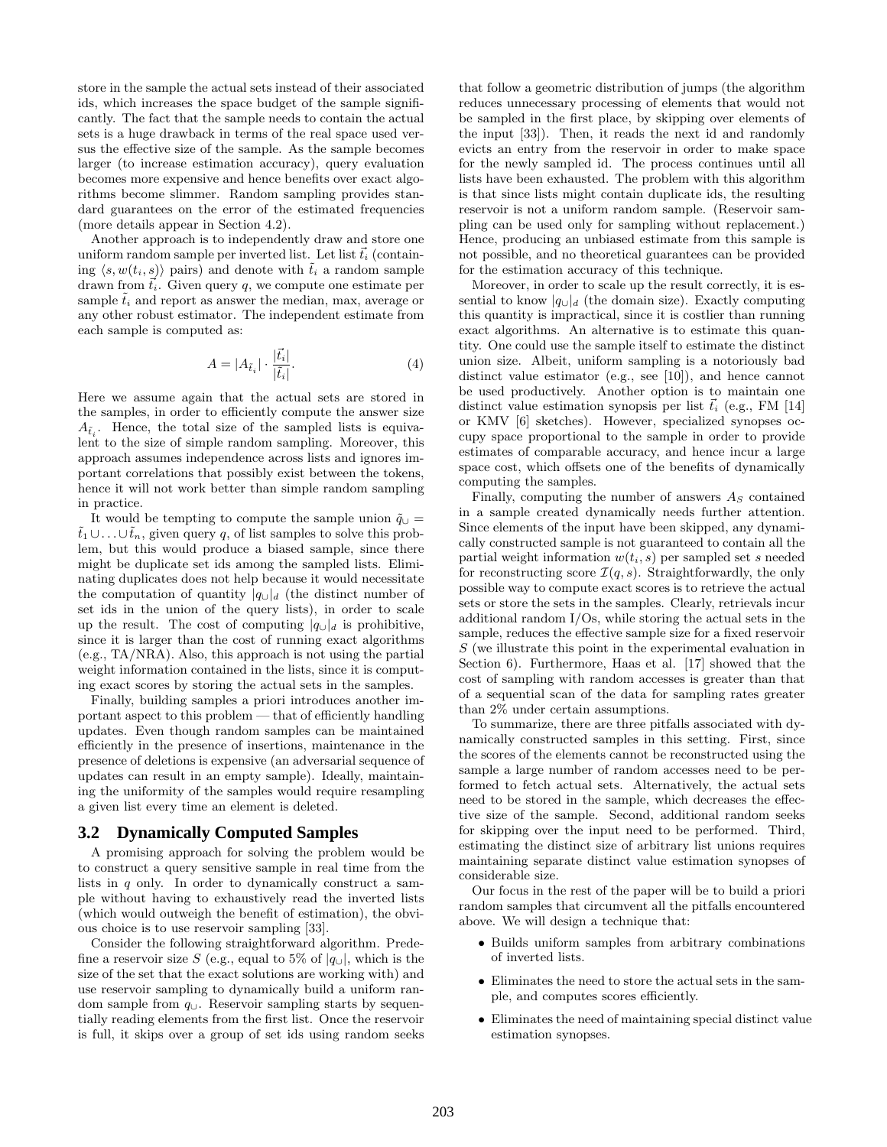store in the sample the actual sets instead of their associated ids, which increases the space budget of the sample significantly. The fact that the sample needs to contain the actual sets is a huge drawback in terms of the real space used versus the effective size of the sample. As the sample becomes larger (to increase estimation accuracy), query evaluation becomes more expensive and hence benefits over exact algorithms become slimmer. Random sampling provides standard guarantees on the error of the estimated frequencies (more details appear in Section 4.2).

Another approach is to independently draw and store one uniform random sample per inverted list. Let list  $\vec{t}_i$  (containing  $\langle s, w(t_i, s) \rangle$  pairs) and denote with  $\tilde{t}_i$  a random sample drawn from  $\vec{t}_i$ . Given query q, we compute one estimate per sample  $\tilde{t}_i$  and report as answer the median, max, average or any other robust estimator. The independent estimate from each sample is computed as:

$$
A = |A_{\tilde{t}_i}| \cdot \frac{|\vec{t}_i|}{|\tilde{t}_i|}.\tag{4}
$$

Here we assume again that the actual sets are stored in the samples, in order to efficiently compute the answer size  $A_{\tilde{t}_i}$ . Hence, the total size of the sampled lists is equivalent to the size of simple random sampling. Moreover, this approach assumes independence across lists and ignores important correlations that possibly exist between the tokens, hence it will not work better than simple random sampling in practice.

It would be tempting to compute the sample union  $\tilde{q}$ ∪ =  $t_1 \cup \ldots \cup t_n$ , given query q, of list samples to solve this problem, but this would produce a biased sample, since there might be duplicate set ids among the sampled lists. Eliminating duplicates does not help because it would necessitate the computation of quantity  $|q_{\cup}|_d$  (the distinct number of set ids in the union of the query lists), in order to scale up the result. The cost of computing  $|q_{\cup}|_d$  is prohibitive, since it is larger than the cost of running exact algorithms (e.g., TA/NRA). Also, this approach is not using the partial weight information contained in the lists, since it is computing exact scores by storing the actual sets in the samples.

Finally, building samples a priori introduces another important aspect to this problem — that of efficiently handling updates. Even though random samples can be maintained efficiently in the presence of insertions, maintenance in the presence of deletions is expensive (an adversarial sequence of updates can result in an empty sample). Ideally, maintaining the uniformity of the samples would require resampling a given list every time an element is deleted.

## **3.2 Dynamically Computed Samples**

A promising approach for solving the problem would be to construct a query sensitive sample in real time from the lists in q only. In order to dynamically construct a sample without having to exhaustively read the inverted lists (which would outweigh the benefit of estimation), the obvious choice is to use reservoir sampling [33].

Consider the following straightforward algorithm. Predefine a reservoir size S (e.g., equal to 5% of  $|q_{\cup}|$ , which is the size of the set that the exact solutions are working with) and use reservoir sampling to dynamically build a uniform random sample from  $q_{\cup}$ . Reservoir sampling starts by sequentially reading elements from the first list. Once the reservoir is full, it skips over a group of set ids using random seeks

that follow a geometric distribution of jumps (the algorithm reduces unnecessary processing of elements that would not be sampled in the first place, by skipping over elements of the input [33]). Then, it reads the next id and randomly evicts an entry from the reservoir in order to make space for the newly sampled id. The process continues until all lists have been exhausted. The problem with this algorithm is that since lists might contain duplicate ids, the resulting reservoir is not a uniform random sample. (Reservoir sampling can be used only for sampling without replacement.) Hence, producing an unbiased estimate from this sample is not possible, and no theoretical guarantees can be provided for the estimation accuracy of this technique.

Moreover, in order to scale up the result correctly, it is essential to know  $|q_{\cup}|_d$  (the domain size). Exactly computing this quantity is impractical, since it is costlier than running exact algorithms. An alternative is to estimate this quantity. One could use the sample itself to estimate the distinct union size. Albeit, uniform sampling is a notoriously bad distinct value estimator (e.g., see [10]), and hence cannot be used productively. Another option is to maintain one distinct value estimation synopsis per list  $\vec{t}_i$  (e.g., FM [14] or KMV [6] sketches). However, specialized synopses occupy space proportional to the sample in order to provide estimates of comparable accuracy, and hence incur a large space cost, which offsets one of the benefits of dynamically computing the samples.

Finally, computing the number of answers  $A<sub>S</sub>$  contained in a sample created dynamically needs further attention. Since elements of the input have been skipped, any dynamically constructed sample is not guaranteed to contain all the partial weight information  $w(t_i, s)$  per sampled set s needed for reconstructing score  $\mathcal{I}(q, s)$ . Straightforwardly, the only possible way to compute exact scores is to retrieve the actual sets or store the sets in the samples. Clearly, retrievals incur additional random I/Os, while storing the actual sets in the sample, reduces the effective sample size for a fixed reservoir S (we illustrate this point in the experimental evaluation in Section 6). Furthermore, Haas et al. [17] showed that the cost of sampling with random accesses is greater than that of a sequential scan of the data for sampling rates greater than 2% under certain assumptions.

To summarize, there are three pitfalls associated with dynamically constructed samples in this setting. First, since the scores of the elements cannot be reconstructed using the sample a large number of random accesses need to be performed to fetch actual sets. Alternatively, the actual sets need to be stored in the sample, which decreases the effective size of the sample. Second, additional random seeks for skipping over the input need to be performed. Third, estimating the distinct size of arbitrary list unions requires maintaining separate distinct value estimation synopses of considerable size.

Our focus in the rest of the paper will be to build a priori random samples that circumvent all the pitfalls encountered above. We will design a technique that:

- Builds uniform samples from arbitrary combinations of inverted lists.
- Eliminates the need to store the actual sets in the sample, and computes scores efficiently.
- Eliminates the need of maintaining special distinct value estimation synopses.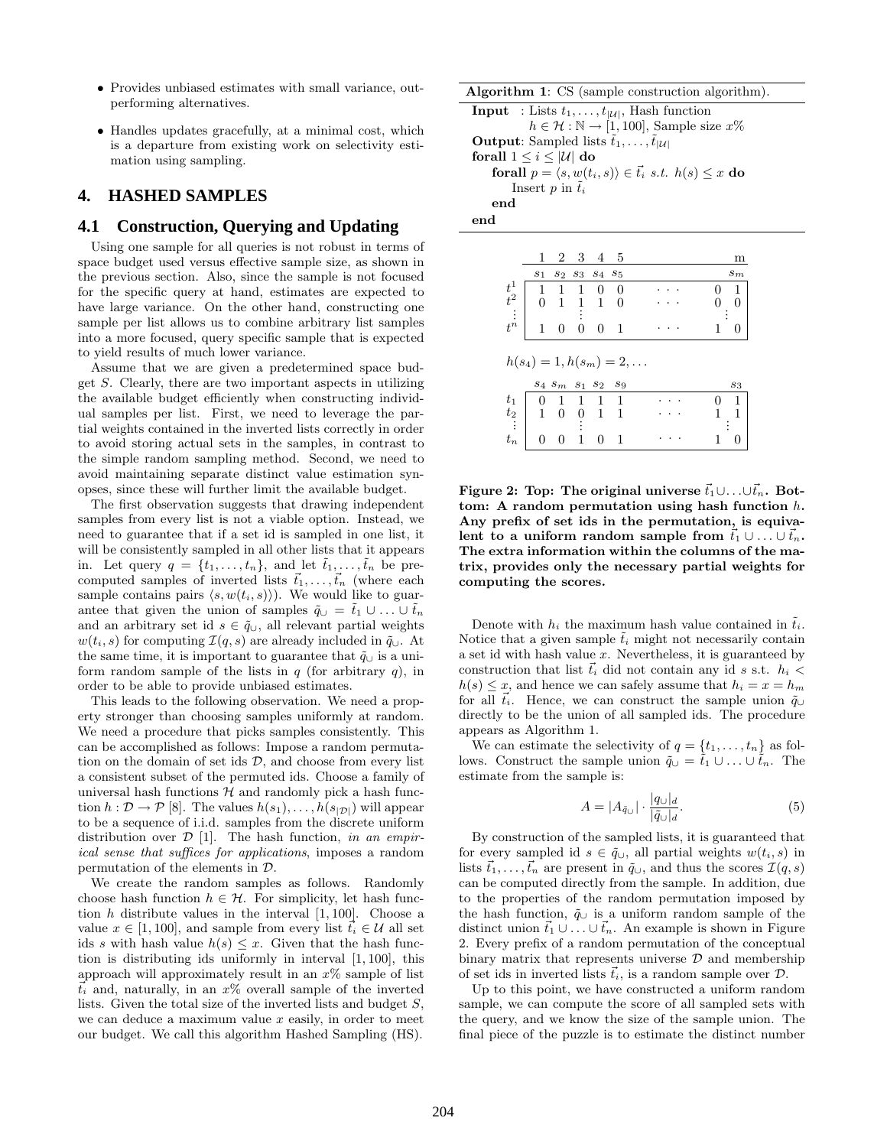- Provides unbiased estimates with small variance, outperforming alternatives.
- Handles updates gracefully, at a minimal cost, which is a departure from existing work on selectivity estimation using sampling.

# **4. HASHED SAMPLES**

## **4.1 Construction, Querying and Updating**

Using one sample for all queries is not robust in terms of space budget used versus effective sample size, as shown in the previous section. Also, since the sample is not focused for the specific query at hand, estimates are expected to have large variance. On the other hand, constructing one sample per list allows us to combine arbitrary list samples into a more focused, query specific sample that is expected to yield results of much lower variance.

Assume that we are given a predetermined space budget S. Clearly, there are two important aspects in utilizing the available budget efficiently when constructing individual samples per list. First, we need to leverage the partial weights contained in the inverted lists correctly in order to avoid storing actual sets in the samples, in contrast to the simple random sampling method. Second, we need to avoid maintaining separate distinct value estimation synopses, since these will further limit the available budget.

The first observation suggests that drawing independent samples from every list is not a viable option. Instead, we need to guarantee that if a set id is sampled in one list, it will be consistently sampled in all other lists that it appears in. Let query  $q = \{t_1, \ldots, t_n\}$ , and let  $\tilde{t}_1, \ldots, \tilde{t}_n$  be precomputed samples of inverted lists  $\vec{t}_1, \ldots, \vec{t}_n$  (where each sample contains pairs  $\langle s, w(t_i, s) \rangle$ . We would like to guarantee that given the union of samples  $\tilde{q}_\cup = \tilde{t}_1 \cup \ldots \cup \tilde{t}_n$ and an arbitrary set id  $s \in \tilde{q}$ <sub>∪</sub>, all relevant partial weights  $w(t_i, s)$  for computing  $\mathcal{I}(q, s)$  are already included in  $\tilde{q} \cup A$ . the same time, it is important to guarantee that  $\tilde{q}_{\cup}$  is a uniform random sample of the lists in  $q$  (for arbitrary  $q$ ), in order to be able to provide unbiased estimates.

This leads to the following observation. We need a property stronger than choosing samples uniformly at random. We need a procedure that picks samples consistently. This can be accomplished as follows: Impose a random permutation on the domain of set ids  $D$ , and choose from every list a consistent subset of the permuted ids. Choose a family of universal hash functions  $H$  and randomly pick a hash function  $h : \mathcal{D} \to \mathcal{P}$  [8]. The values  $h(s_1), \ldots, h(s_{|\mathcal{D}|})$  will appear to be a sequence of i.i.d. samples from the discrete uniform distribution over  $\mathcal{D}$  [1]. The hash function, in an empirical sense that suffices for applications, imposes a random permutation of the elements in D.

We create the random samples as follows. Randomly choose hash function  $h \in \mathcal{H}$ . For simplicity, let hash function  $h$  distribute values in the interval  $[1, 100]$ . Choose a value  $x \in [1, 100]$ , and sample from every list  $\vec{t}_i \in \mathcal{U}$  all set ids s with hash value  $h(s) \leq x$ . Given that the hash function is distributing ids uniformly in interval [1, 100], this approach will approximately result in an  $x\%$  sample of list  $\vec{t}_i$  and, naturally, in an  $x\%$  overall sample of the inverted lists. Given the total size of the inverted lists and budget S, we can deduce a maximum value  $x$  easily, in order to meet our budget. We call this algorithm Hashed Sampling (HS). Algorithm 1: CS (sample construction algorithm).

**Input** : Lists  $t_1, \ldots, t_{|\mathcal{U}|}$ , Hash function  $h \in \mathcal{H} : \mathbb{N} \to [1, 100]$ , Sample size  $x\%$ **Output:** Sampled lists  $\tilde{t}_1, \ldots, \tilde{t}_{|\mathcal{U}|}$ forall  $1 \leq i \leq |\mathcal{U}|$  do forall  $p = \langle s, w(t_i, s) \rangle \in \vec{t}_i \text{ s.t. } h(s) \leq x \textbf{ do}$ Insert p in  $\tilde{t}_i$ end end

|                                                          | 1              | 2                             |             | 3 4 5                   |                |  | m             |  |  |
|----------------------------------------------------------|----------------|-------------------------------|-------------|-------------------------|----------------|--|---------------|--|--|
|                                                          | S <sub>1</sub> |                               |             | $S_2$ $S_3$ $S_4$ $S_5$ |                |  | $s_m$         |  |  |
|                                                          | 1              | 1                             | 1           | $\boldsymbol{0}$        | $\theta$       |  | 1<br>0        |  |  |
| $\begin{matrix} t^1 \ t^2 \ \vdots \ t^n \end{matrix}$   | 0              | $\overline{1}$                | 1           | $\overline{1}$          | $\Omega$       |  | 0             |  |  |
|                                                          |                |                               |             |                         |                |  |               |  |  |
|                                                          | 1              | $\theta$                      | $\theta$    | $\theta$                | $\overline{1}$ |  | 1<br>$^{(1)}$ |  |  |
| $h(s_4) = 1, h(s_m) = 2, \ldots$                         |                |                               |             |                         |                |  |               |  |  |
|                                                          |                | $s_4 \ s_m \ s_1 \ s_2 \ s_9$ |             |                         |                |  | $\sqrt{s_3}$  |  |  |
|                                                          |                |                               |             |                         |                |  |               |  |  |
|                                                          | $\Omega$       |                               | $1 \t1 \t1$ |                         | -1             |  | 1<br>0        |  |  |
|                                                          | 1              |                               | $0 \quad 0$ | $\overline{1}$          | $\overline{1}$ |  | 1<br>1        |  |  |
| $\begin{bmatrix} t_1 \ t_2 \ \vdots \ t_n \end{bmatrix}$ | $\Omega$       | 0                             | $\,$ 1 $\,$ | $\overline{0}$          | -1             |  | 1             |  |  |

Figure 2: Top: The original universe  $\vec{t}_1 \cup \ldots \cup \vec{t}_n$ . Bottom: A random permutation using hash function  $h$ . Any prefix of set ids in the permutation, is equivalent to a uniform random sample from  $t_1 \cup \ldots \cup t_n$ . The extra information within the columns of the matrix, provides only the necessary partial weights for computing the scores.

Denote with  $h_i$  the maximum hash value contained in  $\tilde{t}_i$ . Notice that a given sample  $\tilde{t}_i$  might not necessarily contain a set id with hash value  $x$ . Nevertheless, it is guaranteed by construction that list  $\vec{t}_i$  did not contain any id s s.t.  $h_i$  <  $h(s) \leq x$ , and hence we can safely assume that  $h_i = x = h_m$ for all  $\vec{t}_i$ . Hence, we can construct the sample union  $\tilde{q}_\cup$ directly to be the union of all sampled ids. The procedure appears as Algorithm 1.

We can estimate the selectivity of  $q = \{t_1, \ldots, t_n\}$  as follows. Construct the sample union  $\tilde{q}_{\cup} = \tilde{t}_1 \cup \ldots \cup \tilde{t}_n$ . The estimate from the sample is:

$$
A = |A_{\tilde{q}\cup}| \cdot \frac{|q_{\cup}|_d}{|\tilde{q}_{\cup}|_d}.\tag{5}
$$

By construction of the sampled lists, it is guaranteed that for every sampled id  $s \in \tilde{q}_{\cup}$ , all partial weights  $w(t_i, s)$  in lists  $\vec{t}_1, \ldots, \vec{t}_n$  are present in  $\tilde{q}_\cup$ , and thus the scores  $\mathcal{I}(q, s)$ can be computed directly from the sample. In addition, due to the properties of the random permutation imposed by the hash function,  $\tilde{q}_{\cup}$  is a uniform random sample of the distinct union  $\vec{t}_1 \cup \ldots \cup \vec{t}_n$ . An example is shown in Figure 2. Every prefix of a random permutation of the conceptual binary matrix that represents universe  $D$  and membership of set ids in inverted lists  $\vec{t}_i$ , is a random sample over  $\mathcal{D}$ .

Up to this point, we have constructed a uniform random sample, we can compute the score of all sampled sets with the query, and we know the size of the sample union. The final piece of the puzzle is to estimate the distinct number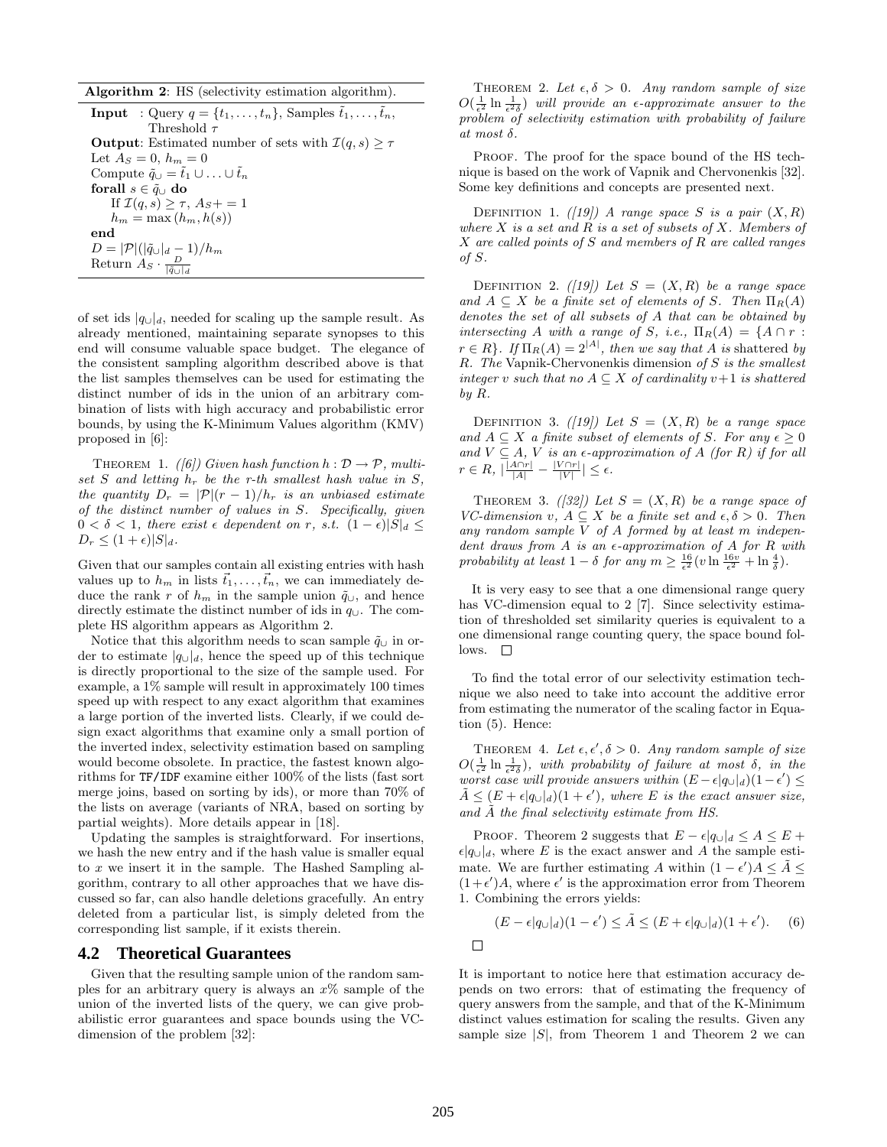Algorithm 2: HS (selectivity estimation algorithm).

**Input** : Query  $q = \{t_1, \ldots, t_n\}$ , Samples  $\tilde{t}_1, \ldots, \tilde{t}_n$ , Threshold  $\tau$ **Output:** Estimated number of sets with  $\mathcal{I}(q, s) \geq \tau$ Let  $A_S = 0, h_m = 0$ Compute  $\tilde{q}_{\cup} = \tilde{t}_1 \cup \ldots \cup \tilde{t}_n$ forall  $s \in \tilde{q}_\cup$  do If  $\mathcal{I}(q, s) \geq \tau$ ,  $A_s = 1$  $h_m = \max(h_m, h(s))$ end  $D = |\mathcal{P}|(|\tilde{q}_{\cup}|_d - 1)/h_m$ Return  $A_S \cdot \frac{D}{|\tilde{q}_\cup|_d}$ 

of set ids  $|q_{\cup}|_d$ , needed for scaling up the sample result. As already mentioned, maintaining separate synopses to this end will consume valuable space budget. The elegance of the consistent sampling algorithm described above is that the list samples themselves can be used for estimating the distinct number of ids in the union of an arbitrary combination of lists with high accuracy and probabilistic error bounds, by using the K-Minimum Values algorithm (KMV) proposed in [6]:

THEOREM 1. ([6]) Given hash function  $h : \mathcal{D} \to \mathcal{P}$ , multiset S and letting  $h_r$  be the r-th smallest hash value in S, the quantity  $D_r = |\mathcal{P}|(r-1)/h_r$  is an unbiased estimate of the distinct number of values in S. Specifically, given  $0 < \delta < 1$ , there exist  $\epsilon$  dependent on r, s.t.  $(1 - \epsilon)|S|_d \leq$  $D_r \leq (1+\epsilon)|S|_d.$ 

Given that our samples contain all existing entries with hash values up to  $h_m$  in lists  $\vec{t}_1, \ldots, \vec{t}_n$ , we can immediately deduce the rank r of  $h_m$  in the sample union  $\tilde{q}_\cup$ , and hence directly estimate the distinct number of ids in  $q_{\cup}$ . The complete HS algorithm appears as Algorithm 2.

Notice that this algorithm needs to scan sample  $\tilde{q}_\cup$  in order to estimate  $|q_{\cup}|_d$ , hence the speed up of this technique is directly proportional to the size of the sample used. For example, a 1% sample will result in approximately 100 times speed up with respect to any exact algorithm that examines a large portion of the inverted lists. Clearly, if we could design exact algorithms that examine only a small portion of the inverted index, selectivity estimation based on sampling would become obsolete. In practice, the fastest known algorithms for TF/IDF examine either 100% of the lists (fast sort merge joins, based on sorting by ids), or more than 70% of the lists on average (variants of NRA, based on sorting by partial weights). More details appear in [18].

Updating the samples is straightforward. For insertions, we hash the new entry and if the hash value is smaller equal to  $x$  we insert it in the sample. The Hashed Sampling algorithm, contrary to all other approaches that we have discussed so far, can also handle deletions gracefully. An entry deleted from a particular list, is simply deleted from the corresponding list sample, if it exists therein.

#### **4.2 Theoretical Guarantees**

Given that the resulting sample union of the random samples for an arbitrary query is always an  $x\%$  sample of the union of the inverted lists of the query, we can give probabilistic error guarantees and space bounds using the VCdimension of the problem [32]:

THEOREM 2. Let  $\epsilon, \delta > 0$ . Any random sample of size  $O(\frac{1}{\epsilon^2} \ln \frac{1}{\epsilon^2 \delta})$  will provide an  $\epsilon$ -approximate answer to the problem of selectivity estimation with probability of failure at most δ.

PROOF. The proof for the space bound of the HS technique is based on the work of Vapnik and Chervonenkis [32]. Some key definitions and concepts are presented next.

DEFINITION 1. ([19]) A range space S is a pair  $(X, R)$ where  $X$  is a set and  $R$  is a set of subsets of  $X$ . Members of  $X$  are called points of  $S$  and members of  $R$  are called ranges of S.

DEFINITION 2. ([19]) Let  $S = (X, R)$  be a range space and  $A \subseteq X$  be a finite set of elements of S. Then  $\Pi_R(A)$ denotes the set of all subsets of A that can be obtained by intersecting A with a range of S, i.e.,  $\Pi_R(A) = \{A \cap r :$  $r \in R$ . If  $\Pi_R(A) = 2^{|A|}$ , then we say that A is shattered by R. The Vapnik-Chervonenkis dimension of S is the smallest integer v such that no  $A \subseteq X$  of cardinality  $v+1$  is shattered by R.

DEFINITION 3. ([19]) Let  $S = (X, R)$  be a range space and  $A \subseteq X$  a finite subset of elements of S. For any  $\epsilon > 0$ and  $V \subseteq A$ , V is an  $\epsilon$ -approximation of A (for R) if for all  $r \in R$ ,  $\left| \frac{|A \cap r|}{|A|} - \frac{|V \cap r|}{|V|} \right| \leq \epsilon$ .

THEOREM 3. ([32]) Let  $S = (X, R)$  be a range space of VC-dimension v,  $A \subseteq X$  be a finite set and  $\epsilon, \delta > 0$ . Then any random sample V of A formed by at least m independent draws from A is an  $\epsilon$ -approximation of A for R with probability at least  $1 - \delta$  for any  $m \ge \frac{16}{\epsilon^2} (v \ln \frac{16v}{\epsilon^2} + \ln \frac{4}{\delta}).$ 

It is very easy to see that a one dimensional range query has VC-dimension equal to 2 [7]. Since selectivity estimation of thresholded set similarity queries is equivalent to a one dimensional range counting query, the space bound fol- $\log S$ .  $\Box$ 

To find the total error of our selectivity estimation technique we also need to take into account the additive error from estimating the numerator of the scaling factor in Equation (5). Hence:

THEOREM 4. Let  $\epsilon, \epsilon', \delta > 0$ . Any random sample of size  $O(\frac{1}{\epsilon^2} \ln \frac{1}{\epsilon^2 \delta})$ , with probability of failure at most  $\delta$ , in the worst case will provide answers within  $(E - \epsilon |q_{\cup}|_d)(1 - \epsilon') \leq$  $\tilde{A} \leq (E + \epsilon |q_{\cup}|_d)(1 + \epsilon')$ , where E is the exact answer size, and  $\tilde{A}$  the final selectivity estimate from HS.

PROOF. Theorem 2 suggests that  $E - \epsilon |q_{\cup}|_d \leq A \leq E +$  $\epsilon |q_{\cup}|_d$ , where E is the exact answer and A the sample estimate. We are further estimating A within  $(1 - \epsilon')A \leq \tilde{A} \leq$  $(1+\epsilon')A$ , where  $\epsilon'$  is the approximation error from Theorem 1. Combining the errors yields:

$$
(E - \epsilon |q_{\cup}|_d)(1 - \epsilon') \le \tilde{A} \le (E + \epsilon |q_{\cup}|_d)(1 + \epsilon'). \tag{6}
$$

It is important to notice here that estimation accuracy depends on two errors: that of estimating the frequency of query answers from the sample, and that of the K-Minimum distinct values estimation for scaling the results. Given any sample size  $|S|$ , from Theorem 1 and Theorem 2 we can

 $\Box$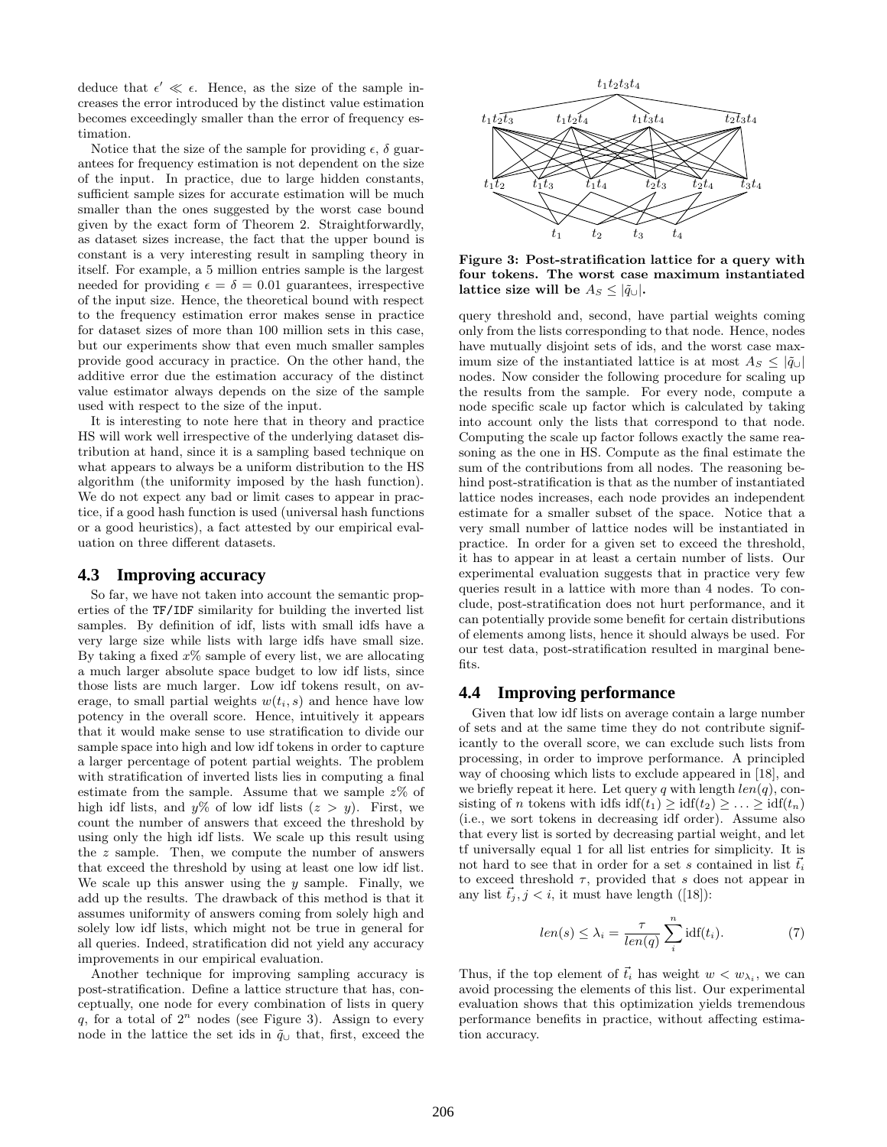deduce that  $\epsilon' \ll \epsilon$ . Hence, as the size of the sample increases the error introduced by the distinct value estimation becomes exceedingly smaller than the error of frequency estimation.

Notice that the size of the sample for providing  $\epsilon$ ,  $\delta$  guarantees for frequency estimation is not dependent on the size of the input. In practice, due to large hidden constants, sufficient sample sizes for accurate estimation will be much smaller than the ones suggested by the worst case bound given by the exact form of Theorem 2. Straightforwardly, as dataset sizes increase, the fact that the upper bound is constant is a very interesting result in sampling theory in itself. For example, a 5 million entries sample is the largest needed for providing  $\epsilon = \delta = 0.01$  guarantees, irrespective of the input size. Hence, the theoretical bound with respect to the frequency estimation error makes sense in practice for dataset sizes of more than 100 million sets in this case, but our experiments show that even much smaller samples provide good accuracy in practice. On the other hand, the additive error due the estimation accuracy of the distinct value estimator always depends on the size of the sample used with respect to the size of the input.

It is interesting to note here that in theory and practice HS will work well irrespective of the underlying dataset distribution at hand, since it is a sampling based technique on what appears to always be a uniform distribution to the HS algorithm (the uniformity imposed by the hash function). We do not expect any bad or limit cases to appear in practice, if a good hash function is used (universal hash functions or a good heuristics), a fact attested by our empirical evaluation on three different datasets.

#### **4.3 Improving accuracy**

So far, we have not taken into account the semantic properties of the TF/IDF similarity for building the inverted list samples. By definition of idf, lists with small idfs have a very large size while lists with large idfs have small size. By taking a fixed  $x\%$  sample of every list, we are allocating a much larger absolute space budget to low idf lists, since those lists are much larger. Low idf tokens result, on average, to small partial weights  $w(t_i, s)$  and hence have low potency in the overall score. Hence, intuitively it appears that it would make sense to use stratification to divide our sample space into high and low idf tokens in order to capture a larger percentage of potent partial weights. The problem with stratification of inverted lists lies in computing a final estimate from the sample. Assume that we sample  $z\%$  of high idf lists, and  $y\%$  of low idf lists  $(z > y)$ . First, we count the number of answers that exceed the threshold by using only the high idf lists. We scale up this result using the z sample. Then, we compute the number of answers that exceed the threshold by using at least one low idf list. We scale up this answer using the  $y$  sample. Finally, we add up the results. The drawback of this method is that it assumes uniformity of answers coming from solely high and solely low idf lists, which might not be true in general for all queries. Indeed, stratification did not yield any accuracy improvements in our empirical evaluation.

Another technique for improving sampling accuracy is post-stratification. Define a lattice structure that has, conceptually, one node for every combination of lists in query q, for a total of  $2^n$  nodes (see Figure 3). Assign to every node in the lattice the set ids in  $\tilde{q}$ <sub>∪</sub> that, first, exceed the



Figure 3: Post-stratification lattice for a query with four tokens. The worst case maximum instantiated lattice size will be  $A_S \le |\tilde{q}_\cup|$ .

query threshold and, second, have partial weights coming only from the lists corresponding to that node. Hence, nodes have mutually disjoint sets of ids, and the worst case maximum size of the instantiated lattice is at most  $A_S \le |\tilde{q}_\cup|$ nodes. Now consider the following procedure for scaling up the results from the sample. For every node, compute a node specific scale up factor which is calculated by taking into account only the lists that correspond to that node. Computing the scale up factor follows exactly the same reasoning as the one in HS. Compute as the final estimate the sum of the contributions from all nodes. The reasoning behind post-stratification is that as the number of instantiated lattice nodes increases, each node provides an independent estimate for a smaller subset of the space. Notice that a very small number of lattice nodes will be instantiated in practice. In order for a given set to exceed the threshold, it has to appear in at least a certain number of lists. Our experimental evaluation suggests that in practice very few queries result in a lattice with more than 4 nodes. To conclude, post-stratification does not hurt performance, and it can potentially provide some benefit for certain distributions of elements among lists, hence it should always be used. For our test data, post-stratification resulted in marginal benefits.

# **4.4 Improving performance**

Given that low idf lists on average contain a large number of sets and at the same time they do not contribute significantly to the overall score, we can exclude such lists from processing, in order to improve performance. A principled way of choosing which lists to exclude appeared in [18], and we briefly repeat it here. Let query q with length  $len(q)$ , consisting of *n* tokens with idfs  $\text{idf}(t_1) \geq \text{idf}(t_2) \geq \ldots \geq \text{idf}(t_n)$ (i.e., we sort tokens in decreasing idf order). Assume also that every list is sorted by decreasing partial weight, and let tf universally equal 1 for all list entries for simplicity. It is not hard to see that in order for a set s contained in list  $\vec{t}_i$ to exceed threshold  $\tau$ , provided that s does not appear in any list  $\vec{t}_j, j \leq i$ , it must have length ([18]):

$$
len(s) \leq \lambda_i = \frac{\tau}{len(q)} \sum_{i}^{n} \text{idf}(t_i). \tag{7}
$$

Thus, if the top element of  $\vec{t}_i$  has weight  $w < w_{\lambda_i}$ , we can avoid processing the elements of this list. Our experimental evaluation shows that this optimization yields tremendous performance benefits in practice, without affecting estimation accuracy.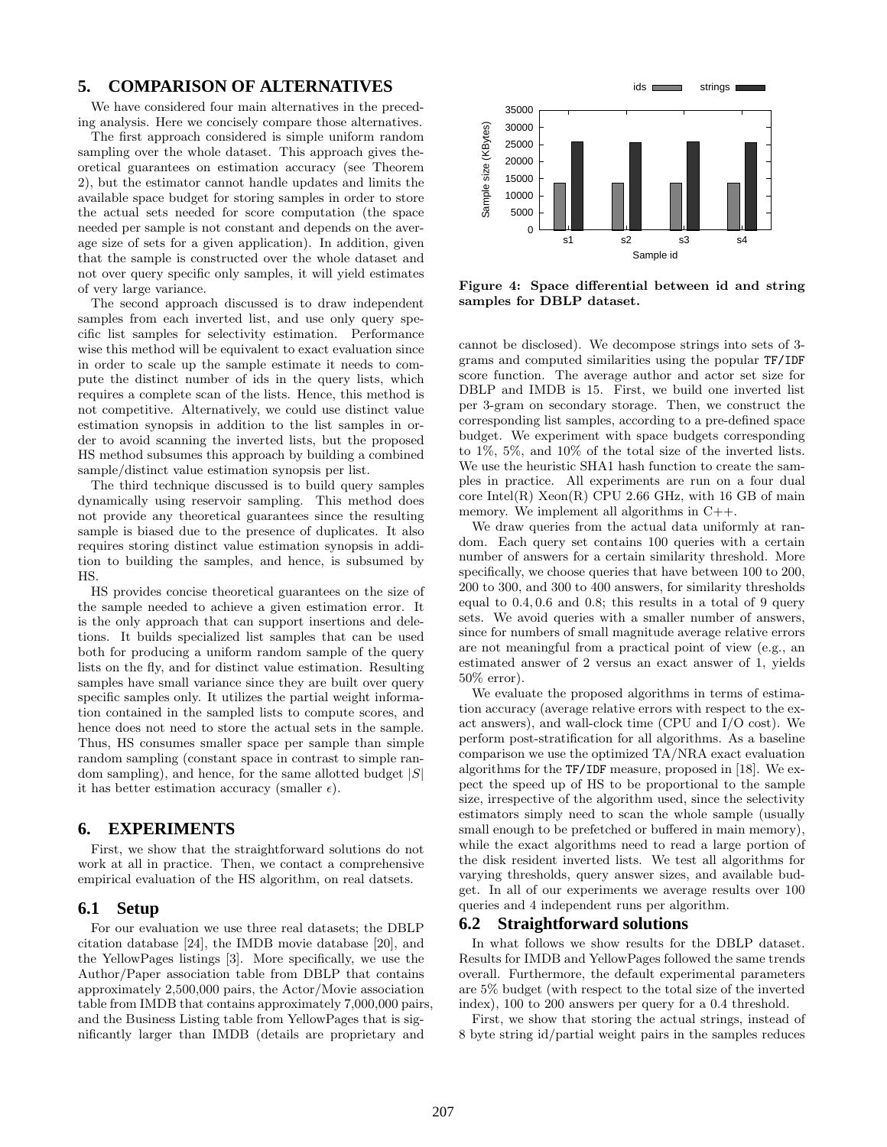# **5. COMPARISON OF ALTERNATIVES**

We have considered four main alternatives in the preceding analysis. Here we concisely compare those alternatives.

The first approach considered is simple uniform random sampling over the whole dataset. This approach gives theoretical guarantees on estimation accuracy (see Theorem 2), but the estimator cannot handle updates and limits the available space budget for storing samples in order to store the actual sets needed for score computation (the space needed per sample is not constant and depends on the average size of sets for a given application). In addition, given that the sample is constructed over the whole dataset and not over query specific only samples, it will yield estimates of very large variance.

The second approach discussed is to draw independent samples from each inverted list, and use only query specific list samples for selectivity estimation. Performance wise this method will be equivalent to exact evaluation since in order to scale up the sample estimate it needs to compute the distinct number of ids in the query lists, which requires a complete scan of the lists. Hence, this method is not competitive. Alternatively, we could use distinct value estimation synopsis in addition to the list samples in order to avoid scanning the inverted lists, but the proposed HS method subsumes this approach by building a combined sample/distinct value estimation synopsis per list.

The third technique discussed is to build query samples dynamically using reservoir sampling. This method does not provide any theoretical guarantees since the resulting sample is biased due to the presence of duplicates. It also requires storing distinct value estimation synopsis in addition to building the samples, and hence, is subsumed by HS.

HS provides concise theoretical guarantees on the size of the sample needed to achieve a given estimation error. It is the only approach that can support insertions and deletions. It builds specialized list samples that can be used both for producing a uniform random sample of the query lists on the fly, and for distinct value estimation. Resulting samples have small variance since they are built over query specific samples only. It utilizes the partial weight information contained in the sampled lists to compute scores, and hence does not need to store the actual sets in the sample. Thus, HS consumes smaller space per sample than simple random sampling (constant space in contrast to simple random sampling), and hence, for the same allotted budget  $|S|$ it has better estimation accuracy (smaller  $\epsilon$ ).

# **6. EXPERIMENTS**

First, we show that the straightforward solutions do not work at all in practice. Then, we contact a comprehensive empirical evaluation of the HS algorithm, on real datsets.

# **6.1 Setup**

For our evaluation we use three real datasets; the DBLP citation database [24], the IMDB movie database [20], and the YellowPages listings [3]. More specifically, we use the Author/Paper association table from DBLP that contains approximately 2,500,000 pairs, the Actor/Movie association table from IMDB that contains approximately 7,000,000 pairs, and the Business Listing table from YellowPages that is significantly larger than IMDB (details are proprietary and



Figure 4: Space differential between id and string samples for DBLP dataset.

cannot be disclosed). We decompose strings into sets of 3 grams and computed similarities using the popular TF/IDF score function. The average author and actor set size for DBLP and IMDB is 15. First, we build one inverted list per 3-gram on secondary storage. Then, we construct the corresponding list samples, according to a pre-defined space budget. We experiment with space budgets corresponding to 1%, 5%, and 10% of the total size of the inverted lists. We use the heuristic SHA1 hash function to create the samples in practice. All experiments are run on a four dual core Intel(R)  $Xeon(R)$  CPU 2.66 GHz, with 16 GB of main memory. We implement all algorithms in C++.

We draw queries from the actual data uniformly at random. Each query set contains 100 queries with a certain number of answers for a certain similarity threshold. More specifically, we choose queries that have between 100 to 200, 200 to 300, and 300 to 400 answers, for similarity thresholds equal to 0.4, 0.6 and 0.8; this results in a total of 9 query sets. We avoid queries with a smaller number of answers, since for numbers of small magnitude average relative errors are not meaningful from a practical point of view (e.g., an estimated answer of 2 versus an exact answer of 1, yields 50% error).

We evaluate the proposed algorithms in terms of estimation accuracy (average relative errors with respect to the exact answers), and wall-clock time (CPU and I/O cost). We perform post-stratification for all algorithms. As a baseline comparison we use the optimized TA/NRA exact evaluation algorithms for the TF/IDF measure, proposed in [18]. We expect the speed up of HS to be proportional to the sample size, irrespective of the algorithm used, since the selectivity estimators simply need to scan the whole sample (usually small enough to be prefetched or buffered in main memory), while the exact algorithms need to read a large portion of the disk resident inverted lists. We test all algorithms for varying thresholds, query answer sizes, and available budget. In all of our experiments we average results over 100 queries and 4 independent runs per algorithm.

#### **6.2 Straightforward solutions**

In what follows we show results for the DBLP dataset. Results for IMDB and YellowPages followed the same trends overall. Furthermore, the default experimental parameters are 5% budget (with respect to the total size of the inverted index), 100 to 200 answers per query for a 0.4 threshold.

First, we show that storing the actual strings, instead of 8 byte string id/partial weight pairs in the samples reduces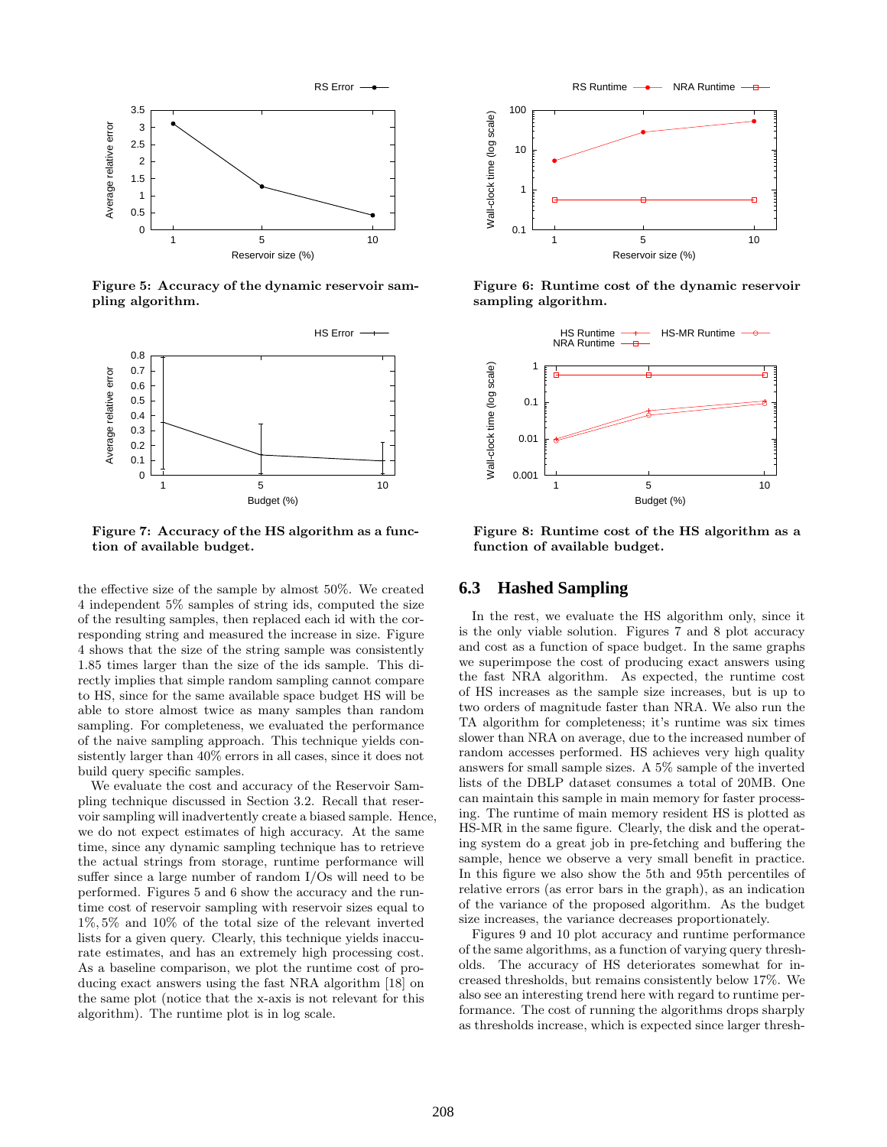

Figure 5: Accuracy of the dynamic reservoir sampling algorithm.



Figure 7: Accuracy of the HS algorithm as a function of available budget.

the effective size of the sample by almost 50%. We created 4 independent 5% samples of string ids, computed the size of the resulting samples, then replaced each id with the corresponding string and measured the increase in size. Figure 4 shows that the size of the string sample was consistently 1.85 times larger than the size of the ids sample. This directly implies that simple random sampling cannot compare to HS, since for the same available space budget HS will be able to store almost twice as many samples than random sampling. For completeness, we evaluated the performance of the naive sampling approach. This technique yields consistently larger than 40% errors in all cases, since it does not build query specific samples.

We evaluate the cost and accuracy of the Reservoir Sampling technique discussed in Section 3.2. Recall that reservoir sampling will inadvertently create a biased sample. Hence, we do not expect estimates of high accuracy. At the same time, since any dynamic sampling technique has to retrieve the actual strings from storage, runtime performance will suffer since a large number of random I/Os will need to be performed. Figures 5 and 6 show the accuracy and the runtime cost of reservoir sampling with reservoir sizes equal to 1%, 5% and 10% of the total size of the relevant inverted lists for a given query. Clearly, this technique yields inaccurate estimates, and has an extremely high processing cost. As a baseline comparison, we plot the runtime cost of producing exact answers using the fast NRA algorithm [18] on the same plot (notice that the x-axis is not relevant for this algorithm). The runtime plot is in log scale.



Figure 6: Runtime cost of the dynamic reservoir sampling algorithm.



Figure 8: Runtime cost of the HS algorithm as a function of available budget.

# **6.3 Hashed Sampling**

In the rest, we evaluate the HS algorithm only, since it is the only viable solution. Figures 7 and 8 plot accuracy and cost as a function of space budget. In the same graphs we superimpose the cost of producing exact answers using the fast NRA algorithm. As expected, the runtime cost of HS increases as the sample size increases, but is up to two orders of magnitude faster than NRA. We also run the TA algorithm for completeness; it's runtime was six times slower than NRA on average, due to the increased number of random accesses performed. HS achieves very high quality answers for small sample sizes. A 5% sample of the inverted lists of the DBLP dataset consumes a total of 20MB. One can maintain this sample in main memory for faster processing. The runtime of main memory resident HS is plotted as HS-MR in the same figure. Clearly, the disk and the operating system do a great job in pre-fetching and buffering the sample, hence we observe a very small benefit in practice. In this figure we also show the 5th and 95th percentiles of relative errors (as error bars in the graph), as an indication of the variance of the proposed algorithm. As the budget size increases, the variance decreases proportionately.

Figures 9 and 10 plot accuracy and runtime performance of the same algorithms, as a function of varying query thresholds. The accuracy of HS deteriorates somewhat for increased thresholds, but remains consistently below 17%. We also see an interesting trend here with regard to runtime performance. The cost of running the algorithms drops sharply as thresholds increase, which is expected since larger thresh-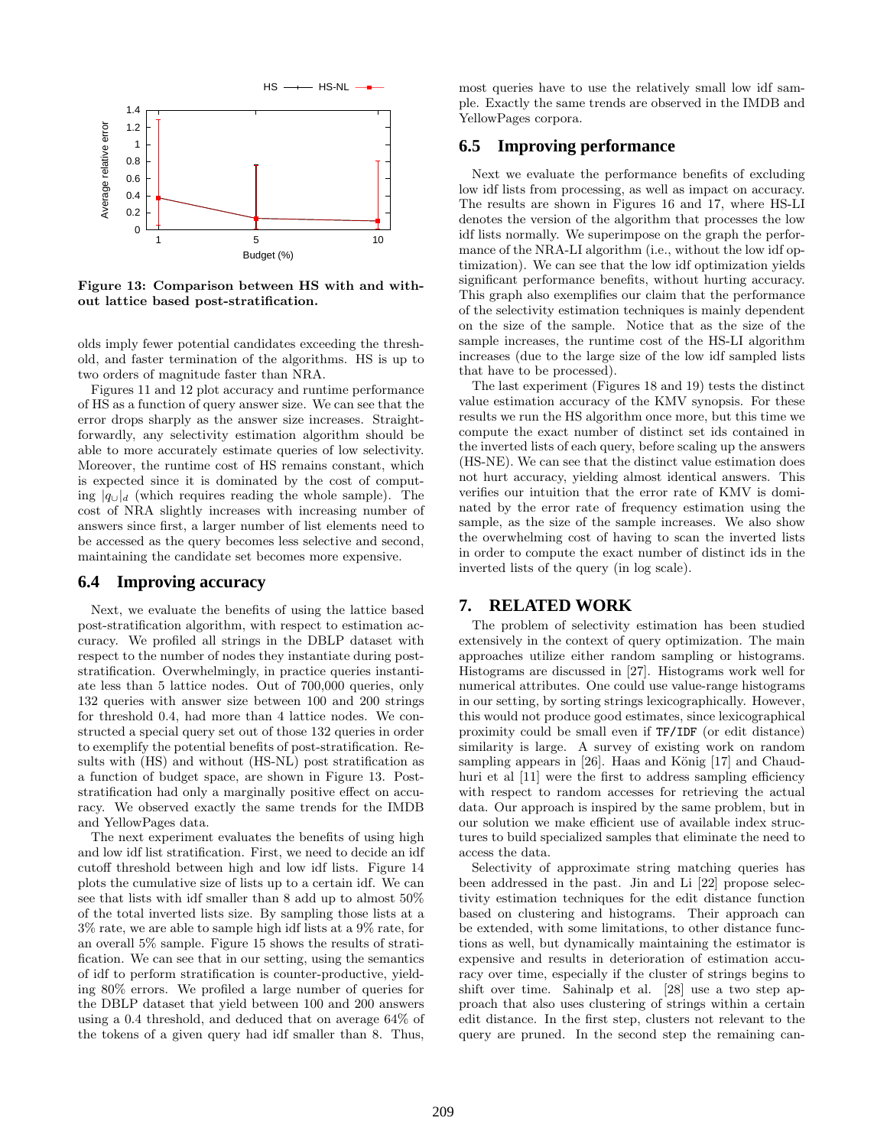

Figure 13: Comparison between HS with and without lattice based post-stratification.

olds imply fewer potential candidates exceeding the threshold, and faster termination of the algorithms. HS is up to two orders of magnitude faster than NRA.

Figures 11 and 12 plot accuracy and runtime performance of HS as a function of query answer size. We can see that the error drops sharply as the answer size increases. Straightforwardly, any selectivity estimation algorithm should be able to more accurately estimate queries of low selectivity. Moreover, the runtime cost of HS remains constant, which is expected since it is dominated by the cost of computing  $|q∪|_d$  (which requires reading the whole sample). The cost of NRA slightly increases with increasing number of answers since first, a larger number of list elements need to be accessed as the query becomes less selective and second, maintaining the candidate set becomes more expensive.

#### **6.4 Improving accuracy**

Next, we evaluate the benefits of using the lattice based post-stratification algorithm, with respect to estimation accuracy. We profiled all strings in the DBLP dataset with respect to the number of nodes they instantiate during poststratification. Overwhelmingly, in practice queries instantiate less than 5 lattice nodes. Out of 700,000 queries, only 132 queries with answer size between 100 and 200 strings for threshold 0.4, had more than 4 lattice nodes. We constructed a special query set out of those 132 queries in order to exemplify the potential benefits of post-stratification. Results with (HS) and without (HS-NL) post stratification as a function of budget space, are shown in Figure 13. Poststratification had only a marginally positive effect on accuracy. We observed exactly the same trends for the IMDB and YellowPages data.

The next experiment evaluates the benefits of using high and low idf list stratification. First, we need to decide an idf cutoff threshold between high and low idf lists. Figure 14 plots the cumulative size of lists up to a certain idf. We can see that lists with idf smaller than 8 add up to almost 50% of the total inverted lists size. By sampling those lists at a 3% rate, we are able to sample high idf lists at a 9% rate, for an overall 5% sample. Figure 15 shows the results of stratification. We can see that in our setting, using the semantics of idf to perform stratification is counter-productive, yielding 80% errors. We profiled a large number of queries for the DBLP dataset that yield between 100 and 200 answers using a 0.4 threshold, and deduced that on average 64% of the tokens of a given query had idf smaller than 8. Thus,

most queries have to use the relatively small low idf sample. Exactly the same trends are observed in the IMDB and YellowPages corpora.

# **6.5 Improving performance**

Next we evaluate the performance benefits of excluding low idf lists from processing, as well as impact on accuracy. The results are shown in Figures 16 and 17, where HS-LI denotes the version of the algorithm that processes the low idf lists normally. We superimpose on the graph the performance of the NRA-LI algorithm (i.e., without the low idf optimization). We can see that the low idf optimization yields significant performance benefits, without hurting accuracy. This graph also exemplifies our claim that the performance of the selectivity estimation techniques is mainly dependent on the size of the sample. Notice that as the size of the sample increases, the runtime cost of the HS-LI algorithm increases (due to the large size of the low idf sampled lists that have to be processed).

The last experiment (Figures 18 and 19) tests the distinct value estimation accuracy of the KMV synopsis. For these results we run the HS algorithm once more, but this time we compute the exact number of distinct set ids contained in the inverted lists of each query, before scaling up the answers (HS-NE). We can see that the distinct value estimation does not hurt accuracy, yielding almost identical answers. This verifies our intuition that the error rate of KMV is dominated by the error rate of frequency estimation using the sample, as the size of the sample increases. We also show the overwhelming cost of having to scan the inverted lists in order to compute the exact number of distinct ids in the inverted lists of the query (in log scale).

# **7. RELATED WORK**

The problem of selectivity estimation has been studied extensively in the context of query optimization. The main approaches utilize either random sampling or histograms. Histograms are discussed in [27]. Histograms work well for numerical attributes. One could use value-range histograms in our setting, by sorting strings lexicographically. However, this would not produce good estimates, since lexicographical proximity could be small even if TF/IDF (or edit distance) similarity is large. A survey of existing work on random sampling appears in  $[26]$ . Haas and König  $[17]$  and Chaudhuri et al [11] were the first to address sampling efficiency with respect to random accesses for retrieving the actual data. Our approach is inspired by the same problem, but in our solution we make efficient use of available index structures to build specialized samples that eliminate the need to access the data.

Selectivity of approximate string matching queries has been addressed in the past. Jin and Li [22] propose selectivity estimation techniques for the edit distance function based on clustering and histograms. Their approach can be extended, with some limitations, to other distance functions as well, but dynamically maintaining the estimator is expensive and results in deterioration of estimation accuracy over time, especially if the cluster of strings begins to shift over time. Sahinalp et al. [28] use a two step approach that also uses clustering of strings within a certain edit distance. In the first step, clusters not relevant to the query are pruned. In the second step the remaining can-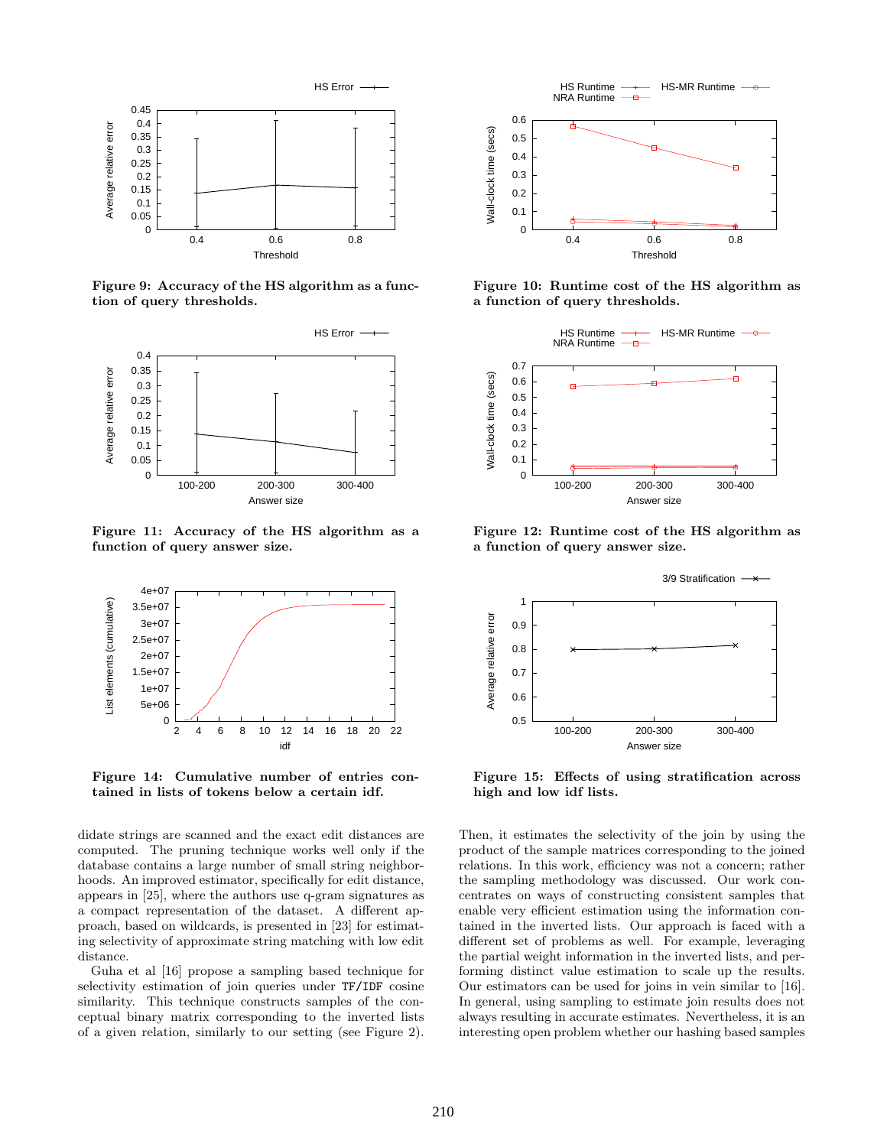

Figure 9: Accuracy of the HS algorithm as a function of query thresholds.



Figure 11: Accuracy of the HS algorithm as a function of query answer size.



Figure 14: Cumulative number of entries contained in lists of tokens below a certain idf.

didate strings are scanned and the exact edit distances are computed. The pruning technique works well only if the database contains a large number of small string neighborhoods. An improved estimator, specifically for edit distance, appears in [25], where the authors use q-gram signatures as a compact representation of the dataset. A different approach, based on wildcards, is presented in [23] for estimating selectivity of approximate string matching with low edit distance.

Guha et al [16] propose a sampling based technique for selectivity estimation of join queries under TF/IDF cosine similarity. This technique constructs samples of the conceptual binary matrix corresponding to the inverted lists of a given relation, similarly to our setting (see Figure 2).



Figure 10: Runtime cost of the HS algorithm as a function of query thresholds.



Figure 12: Runtime cost of the HS algorithm as a function of query answer size.



Figure 15: Effects of using stratification across high and low idf lists.

Then, it estimates the selectivity of the join by using the product of the sample matrices corresponding to the joined relations. In this work, efficiency was not a concern; rather the sampling methodology was discussed. Our work concentrates on ways of constructing consistent samples that enable very efficient estimation using the information contained in the inverted lists. Our approach is faced with a different set of problems as well. For example, leveraging the partial weight information in the inverted lists, and performing distinct value estimation to scale up the results. Our estimators can be used for joins in vein similar to [16]. In general, using sampling to estimate join results does not always resulting in accurate estimates. Nevertheless, it is an interesting open problem whether our hashing based samples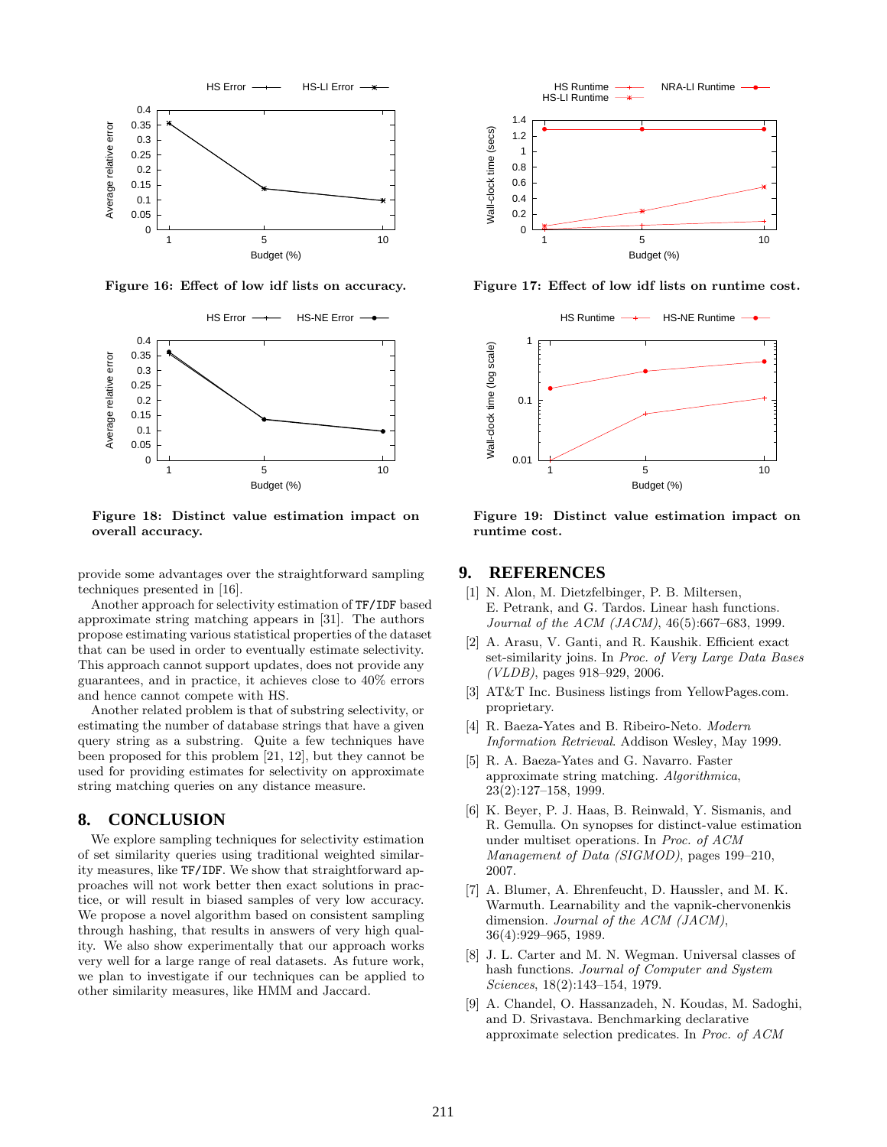

Figure 16: Effect of low idf lists on accuracy.



Figure 18: Distinct value estimation impact on overall accuracy.

provide some advantages over the straightforward sampling techniques presented in [16].

Another approach for selectivity estimation of TF/IDF based approximate string matching appears in [31]. The authors propose estimating various statistical properties of the dataset that can be used in order to eventually estimate selectivity. This approach cannot support updates, does not provide any guarantees, and in practice, it achieves close to 40% errors and hence cannot compete with HS.

Another related problem is that of substring selectivity, or estimating the number of database strings that have a given query string as a substring. Quite a few techniques have been proposed for this problem [21, 12], but they cannot be used for providing estimates for selectivity on approximate string matching queries on any distance measure.

## **8. CONCLUSION**

We explore sampling techniques for selectivity estimation of set similarity queries using traditional weighted similarity measures, like TF/IDF. We show that straightforward approaches will not work better then exact solutions in practice, or will result in biased samples of very low accuracy. We propose a novel algorithm based on consistent sampling through hashing, that results in answers of very high quality. We also show experimentally that our approach works very well for a large range of real datasets. As future work, we plan to investigate if our techniques can be applied to other similarity measures, like HMM and Jaccard.



Figure 17: Effect of low idf lists on runtime cost.



Figure 19: Distinct value estimation impact on runtime cost.

# **9. REFERENCES**

- [1] N. Alon, M. Dietzfelbinger, P. B. Miltersen, E. Petrank, and G. Tardos. Linear hash functions. Journal of the ACM (JACM), 46(5):667–683, 1999.
- [2] A. Arasu, V. Ganti, and R. Kaushik. Efficient exact set-similarity joins. In Proc. of Very Large Data Bases  $(VLDB)$ , pages 918–929, 2006.
- [3] AT&T Inc. Business listings from YellowPages.com. proprietary.
- [4] R. Baeza-Yates and B. Ribeiro-Neto. Modern Information Retrieval. Addison Wesley, May 1999.
- [5] R. A. Baeza-Yates and G. Navarro. Faster approximate string matching. Algorithmica, 23(2):127–158, 1999.
- [6] K. Beyer, P. J. Haas, B. Reinwald, Y. Sismanis, and R. Gemulla. On synopses for distinct-value estimation under multiset operations. In Proc. of ACM Management of Data (SIGMOD), pages 199–210, 2007.
- [7] A. Blumer, A. Ehrenfeucht, D. Haussler, and M. K. Warmuth. Learnability and the vapnik-chervonenkis dimension. Journal of the ACM (JACM), 36(4):929–965, 1989.
- [8] J. L. Carter and M. N. Wegman. Universal classes of hash functions. Journal of Computer and System Sciences, 18(2):143–154, 1979.
- [9] A. Chandel, O. Hassanzadeh, N. Koudas, M. Sadoghi, and D. Srivastava. Benchmarking declarative approximate selection predicates. In Proc. of ACM